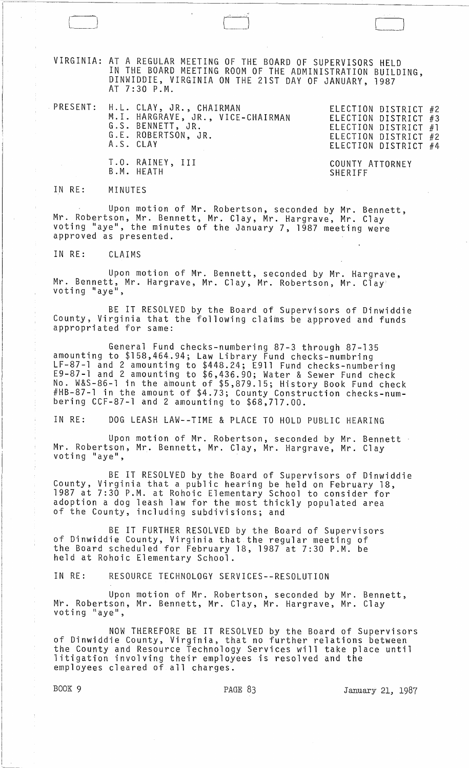VIRGINIA: AT A REGULAR MEETING OF THE BOARD OF SUPERVISORS HELD IN THE BOARD MEETING ROOM OF THE ADMINISTRATION BUILDING, DINWIDDIE, VIRGINIA ON THE 21ST DAY OF JANUARY, 1987 AT 7:30 P.M.

PRESENT: H.L. CLAY, JR., CHAIRMAN M.I. HARGRAVE, JR., VICE-CHAIRMAN G.S. BENNETT, JR. G.E. ROBERTSON, JR. A.S. CLAY

T.O. RAINEY, III

B.M. HEATH

ELECTION DISTRICT #2 ELECTION DISTRICT #3 ELECTION DISTRICT #1 ELECTION DISTRICT #2 ELECTION DISTRICT #4

COUNTY ATTORNEY **SHERIFF** 

IN RE: MINUTES

l\_J

Upon motion of Mr. Robertson, seconded by Mr. Bennett, Mr. Robertson, Mr. Bennett, Mr. Clay, Mr. Hargrave, Mr. Clay voting "aye", the minutes of the January 7, 1987 meeting were approved as presented.

IN RE: CLAIMS

Upon motion of Mr. Bennett, seconded by Mr. Hargrave,<br>Mr. Bennett, Mr. Hargrave, Mr. Clay, Mr. Robertson, Mr. Clay<br>voting "aye",

BE IT RESOLVED by the Board of Supervisors of Dinwiddie County, Virginia that the following claims be approved and funds appropriated for same:

General Fund checks-numbering 87-3 through 87-135 amounting to \$158,464.94; Law Library Fund checks-numbring LF-87-1 and 2 amounting to \$448.24; E911 Fund checks-numbering E9-87-1 and 2 amounting to \$6,436.90; Water & Sewer Fund check No. W&S-86-1 in the amount of \$5,879.15; History Book Fund check #HB-87-1 in the amount of \$4.73; County Construction checks-numbering CCF-87-1 and 2 amounting to \$68,717.00.

IN RE: DOG LEASH LAW--TIME & PLACE TO HOLD PUBLIC HEARING

Upon motion of Mr. Robertson, seconded by Mr. Bennett Mr. Robertson, Mr. Bennett, Mr. Clay, Mr. Hargrave, Mr. Clay<br>voting "aye",

BE IT RESOLVED by the Board of Supervisors of Dinwiddie County, Virginia that a public hearing be held on February 18, 1987 at 7:30 P.M. at Rohoic Elementary School to consider for adoption a dog leash law for the most thickly populated area of the County, including subdivisions; and

BE IT FURTHER RESOLVED by the Board of Supervisors of Dinwiddie County, Virginia that the regular meeting of the Board scheduled for February 18, 1987 at 7:30 P.M. be held at Rohoic Elementary School.

IN RE: RESOURCE TECHNOLOGY SERVICES--RESOLUTION

Upon motion of Mr. Robertson, seconded by Mr. Bennett, Mr. Robertson, Mr. Bennett, Mr. Clay, Mr. Hargrave, Mr. Clay<br>voting "aye",

NOW THEREFORE BE IT RESOLVED by the Board of Supervisors of Dinwiddie County, Virginia, that no further relations between the County and Resource Technology Services will take place until litigation involving their employees is resolved and the employees cleared of all charges.

BOOK 9 **PAGE 83** PAGE 83 January 21, 1987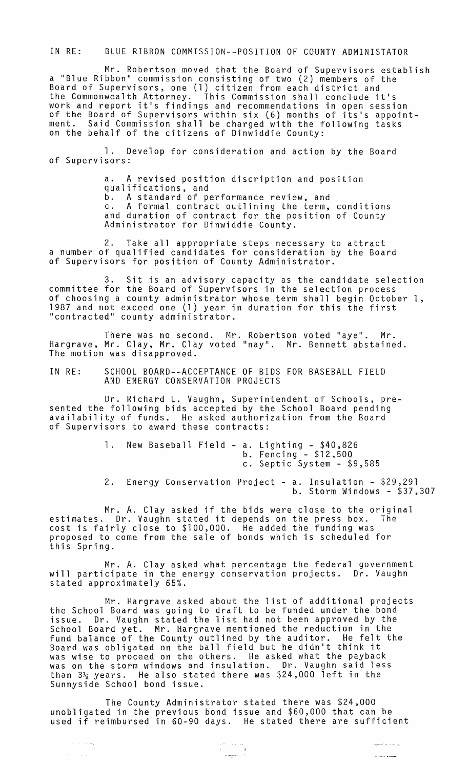IN RE: BLUE RIBBON COMMISSION--POSITION OF COUNTY ADMINISTATOR

Mr. Robertson moved that the Board of Supervisors establish a "Blue Ribbon" commission consisting of two (2) members of the Board of Supervisors, one (1) citizen from each district and the Commonwealth Attorney. This Commission shall conclude it's work and report it's findings and recommendations in open session of the Board of Supervisors within six (6} months of its's appointment. Said Commission shall be charged with the following tasks on the behalf of the citizens of Dinwiddie County:

1. Develop for consideration and action by the Board of Supervisors:

> a. A revised position discription and position qualifications, and b. A standard of performance review, and c. A formal contract outlining the term, conditions and duration of contract for the position of County Administrator for Dinwiddie County.

2. Take all appropriate steps necessary to attract a number of qualified candidates for consideration by the Board of Supervisors for position of County Administrator.

3. Sit is an advisory capacity as the candidate selection committee for the Board of Supervisors in the selection process of choosing a county administrator whose term shall begin October 1, 1987 and not exceed one (1) year in duration for this the first "contracted" county administrator.

There was no second. Mr. Robertson voted "aye". Mr. Hargrave, Mr. Clay, Mr. Clay voted "nay". Mr. Bennett abstained. The motion was disapproved.

IN RE: SCHOOL BOARD--ACCEPTANCE OF BIDS FOR BASEBALL FIELD AND ENERGY CONSERVATION PROJECTS

Dr. Richard L. Vaughn, Superintendent of Schools, presented the following bids accepted by the School Board pending availability of funds. He asked authorization from the Board of Supervisors to award these contracts:

> 1. New Baseball Field - a. Lighting - \$40,826 b. Fencing - \$12,500 c. Septic System - \$9,585

2. Energy Conservation Project - a. Insulation - \$29,291 b. Storm Windows - \$37,307

Mr. A. Clay asked if the bids were close to the original estimates. Dr. Vaughn stated it depends on the press box. The cost is fairly close to \$100,000. He added the funding was proposed to come from the sale of bonds which is scheduled for this Spring.

Mr. A. Clay asked what percentage the federal government will participate in the energy conservation projects. Dr. Vaughn stated approximately 65%.

Mr. Hargrave asked about the list of additional projects the School Board was going to draft to be funded under the bond issue. Dr. Vaughn stated the list had not been approved by the School Board yet. Mr. Hargrave mentioned the reduction in the fund balance of the County outlined by the auditor. He felt the Board was obligated on the ball field but he didn't think it was wise to proceed on the others. He asked what the payback was on the storm windows and insulation. Dr. Vaughn said less was on the storm windows and insuration: "Sit reagnines in the<br>than 3½ years. He also stated there was \$24,000 left in the Sunnyside School bond issue.

The County Administrator stated there was \$24,000 unobligated in the previous bond issue and \$60,000 that can be used if reimbursed in 60-90 days. He stated there are sufficient

 $\begin{array}{l} \mathcal{L}_{\text{max}}(\mathcal{L}_{\text{max}}) \\ \mathcal{L}_{\text{max}}(\mathcal{L}_{\text{max}}) \end{array}$ 

أأنوا والمستعملين

.<br>Salah kacamatan

 $\begin{aligned} \begin{array}{c} \mathbb{R}^2 \times \mathbb{R}^2 \times \mathbb{R}^2 \\ \mathbb{R}^2 \times \mathbb{R}^2 \times \mathbb{R}^2 \end{array} \end{aligned}$ 

 $\theta_{\rm{max}} = 100$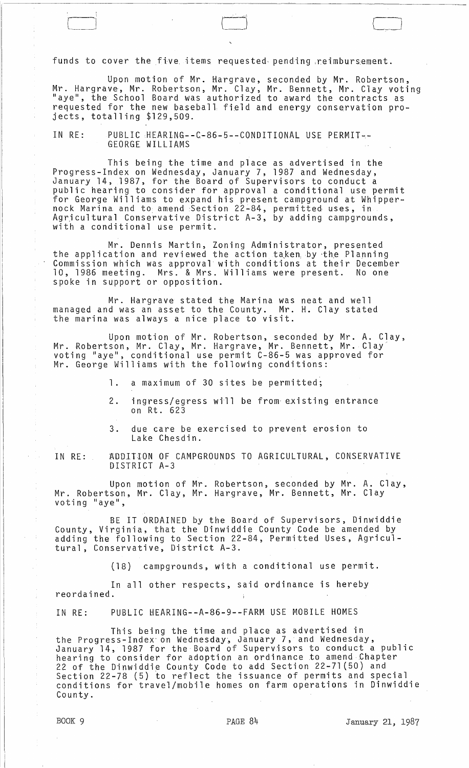funds to cover the five items requested pending reimbursement.

Upon motion of Mr. Hargrave, seconded by Mr. Robertson, Mr. Hargrave, Mr. Robertson, Mr. Clay, Mr. Bennett, Mr. Clay voting "aye", the School Board was authorized to award the contracts as requested for the new baseball field and energy conservation projects, totalling \$129,509.

IN RE: PUBLIC HEARING--C-86-5--CONDITIONAL USE PERMIT--<br>GEORGE WILLIAMS

This being the time and place as advertised in the Progress-Index on Wednesday, January 7, 1987 and Wednesday, January 14, 1987, for the Board of Supervisors to conduct a public hearing to consider for approval a conditional use permit for George Williams to expand his present campground at Whippernock Marina and to amend Section 22-84, permitted uses, in Agricultural Conservative District A-3, by adding campgrounds, with a conditional use permit.

Mr. Dennis Martin, Zoning Administrator, presented the application and reviewed the action taken by the Planning Commission which was approval with conditions at their December 10, 1986 meeting. Mrs. & Mrs. Williams were present. No one spoke in support or opposition.

Mr. Hargrave stated the Marina was neat and well managed and was an asset to the County. Mr. H. Clay stated the marina was always a nice place to visit.

Upon motion of Mr. Robertson, seconded by Mr. A. Clay, Mr. Robertson, Mr. Clay, Mr. Hargrave, Mr. Bennett, Mr. Clay voting lIaye", conditional use permit C-86-5 was approved for Mr. George Williams with the following conditions:

1. a maximum of 30 sites be permitted;

- 2. ingress/egress will be from axisting entrance on Rt. 623
- 3. due care be exercised to prevent erosion to Lake Chesdin.

IN RE: ADDITION OF CAMPGROUNDS TO AGRICULTURAL, CONSERVATIVE DISTRICT A-3

Upon motion of Mr. Robertson, seconded by Mr. A. Clay, Mr. Robertson, Mr. Clay, Mr. Hargrave, Mr. Bennett, Mr. Clay voting "aye",

BE IT ORDAINED by the Board of Supervisors, Dinwiddie County, Virginia, that the Dinwiddie County Code be amended by adding the following to Section 22-84, Permitted Uses, Agricultural, Conservative, District A-3.

(18) campgrounds, with a conditional use permit.

In all other respects, said ordinance is hereby reordained.  $\ddot{\phantom{a}}$ 

IN RE: PUBLIC HEARING--A-86-9--FARM USE MOBILE HOMES

This being the time and place as advertised in the Progress-Index on Wednesday, January 7, and Wednesday, January ]4, 1987 for the Board of Supervisors to conduct a public hearing to consider for adoption an ordinance to amend Chapter 22 of the Dinwiddie County Code to add Section 22-71(50) and Section 22-78 (5) to reflect the issuance of permits and special conditions for travel/mobile homes on farm operations in Dinwiddie County.

ă

 $\Box$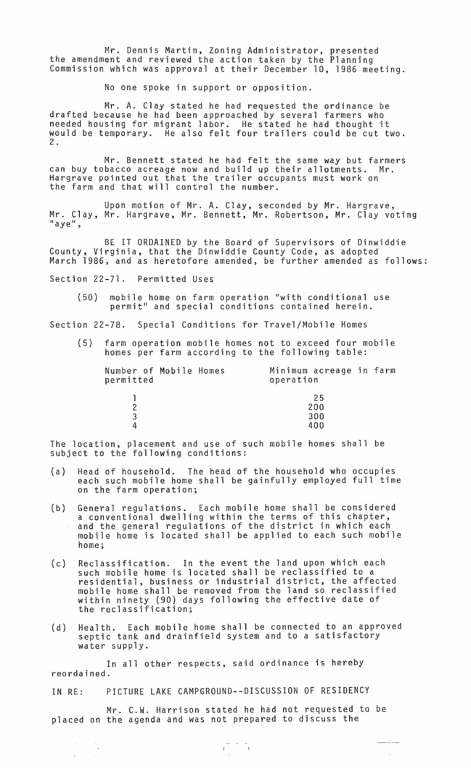Mr. Dennis Martin, Zoning Administrator, presented the amendment and reviewed the action taken by the Planning Commission which was approval at their December 10, 1986 meeting.

No one spoke in support or opposition.

Mr. A. Clay stated he had requested the ordinance be drafted because he had been approached by several farmers who needed housing for migrant labor. He stated he had thought it would be temporary. He also felt four trailers could be cut two. 2 .

Mr. Bennett stated he had felt the same way but farmers can buy tobacco acreage now and build up their allotments. Mr. Hargrave pointed out that the trailer occupants must work on the farm and that will control the number.

Upon motion of Mr. A. Clay, seconded by Mr. Hargrave, Mr. Clay, Mr. Hargrave, Mr. Bennett, Mr. Robertson, Mr. Clay voting<br>"aye",

BE IT ORDAINED by the Board of Supervisors of Dinwiddie County, Virginia, that the Dinwiddie County Code, as adopted March 1986, and as heretofore amended, be further amended as follows:

Section 22-71. Permitted Uses

(50) mobile home on farm operation "with conditional use permit" and special conditions contained herein.

Section 22-78. Special Conditions for Travel/Mobile Homes

(5) farm operation mobile homes not to exceed four mobile homes per farm according to the following table:

| Number of Mobile Homes<br>permitted | operation | Minimum acreage in farm |  |
|-------------------------------------|-----------|-------------------------|--|
|                                     |           | 25                      |  |
| 2                                   |           | 200                     |  |
| 3                                   |           | 300                     |  |
| 4                                   |           | 400                     |  |

The location, placement and use of such mobile homes shall be subject to the following conditions:

- (a) Head of household. The head of the household who occupies each such mobile home shall be gainfully employed full time on the farm operation;
- (b) General regulations. Each mobile home shall be considered a conventional dwelling within the terms of this chapter, and the general regulations of the district in which each mobile home is located shall be applied to each such mobile home;
- $(c)$ Reclassification. In the event the land upon which each such mobile home is located shall be reclassified to a residential, business or industrial district, the affected mobile home shall be removed from the land so reclassified within ninety (90) days following the effective date of the reclassification;
- ( d ) Health. Each mobile home shall be connected to an approved septic tank and drainfield system and to a satisfactory water supply.

In all other respects, said ordinance is hereby reordained.

IN RE: PICTURE LAKE CAMPGROUND--DISCUSSION OF RESIDENCY

 $\frac{1}{\sqrt{2}}$ 

 $\overline{\phantom{a}}$ 

Mr. C.W. Harrison stated he had not requested to be placed on the agenda and was not prepared to discuss the

 $\mathbf{f}^{\text{max}}_{\text{max}}$ 

 $\label{eq:reduced} \begin{split} \text{Lip} & \text{Lip} & \text{Lip} & \text{Lip} & \text{Lip} & \text{Lip} & \text{Lip} & \text{Lip} & \text{Lip} & \text{Lip} & \text{Lip} & \text{Lip} & \text{Lip} & \text{Lip} & \text{Lip} & \text{Lip} & \text{Lip} & \text{Lip} & \text{Lip} & \text{Lip} & \text{Lip} & \text{Lip} & \text{Lip} & \text{Lip} & \text{Lip} & \text{Lip} & \text{Lip} & \text{Lip} & \text{Lip} & \text{L$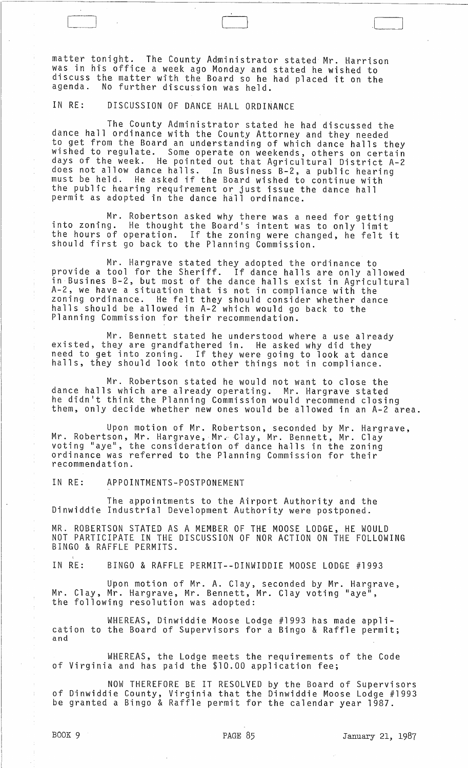matter tonight. The County Administrator stated Mr. Harrison was in his office a week ago Monday and stated he wished to discuss the matter with the Board so he had placed it on the agenda. No further discussion was held No further discussion was held.

IN RE: DISCUSSION OF DANCE HALL ORDINANCE

The County Administrator stated he had discussed the dance hall ordinance with the County Attorney and they needed<br>to get from the Board an understanding of which dance halls they to get from the Board an understanding of which dance halls they<br>wished to regulate. Some operate on weekends, others on certain days of the week. He pointed out that Agricultural District A-2 does not allow dance halls. In Business B-2, a public hearing must be held. He asked if the Board wished to continue with the public hearing requirement or just issue the dance hall permit as adopted in the dance hall ordinance.

Mr. Robertson asked why there was a need for getting into zoning. He thought the Board's intent was to only limit the hours of operation. If the zoning were changed, he felt it should first go back to the Planning Commission.

Mr. Hargrave stated they adopted the ordinance to provide a tool for the Sheriff. If dance halls are only allowed in Busines B-2, but most of the dance halls exist in Agricultural A-2, we have a situation that is not in compliance with the zoning ordinance. He felt they should consider whether dance halls should be allowed in A-2 which would go back to the Planning Commission for their recommendation.

Mr. Bennett stated he understood where a use already existed, they are grandfathered in. He asked why did they need to get into zoning. If they were going to look at dance halls, they should look into other things not in compliance.

Mr. Robertson stated he would not want to close the dance halls which are already operating. Mr. Hargrave stated he didn't think the Planning Commission would recommend closing<br>them, only decide whether new ones would be allowed in an A-2 area.

Upon motion of Mr. Robertson, seconded by Mr. Hargrave,<br>Mr. Robertson, Mr. Hargrave, Mr. Clay, Mr. Bennett, Mr. Clay voting "aye", the consideration of dance halls in the zoning ordinance was referred to the Planning Commission for their recommendation.

IN RE: APPOINTMENTS-POSTPONEMENT

The appointments to the Airport Authority and the Dinwiddie Industrial Development Authority were postponed.

MR. ROBERTSON STATED AS A MEMBER OF THE MOOSE LODGE, HE WOULD NOT PARTICIPATE IN THE DISCUSSION OF NOR ACTION ON THE FOLLOWING BINGO & RAFFLE PERMITS.

IN RE: BINGO & RAFFLE PERMIT--DINWIDDIE MOOSE LODGE #1993

Upon motton of Mr. A. Clay, seconded by Mr. Hargrave, Mr. Clay, Mr. Hargrave, Mr. Bennett, Mr. Clay voting "aye", the following resolution was adopted:

WHEREAS, Dinwiddie Moose Lodge #1993 has made application to the Board of Supervisors for a Bingo & Raffle permit; and

WHEREAS, the Lodge meets the requirements of the Code of Virginia and has paid the \$10.00 application fee;

NOW THEREFORE BE IT RESOLVED by the Board of Supervisors of Dinwiddie County, Virginia that the Dinwiddie Moose Lodge #1993 be granted a Bingo & Raffle permit for the calendar year 1987.

. $\lfloor$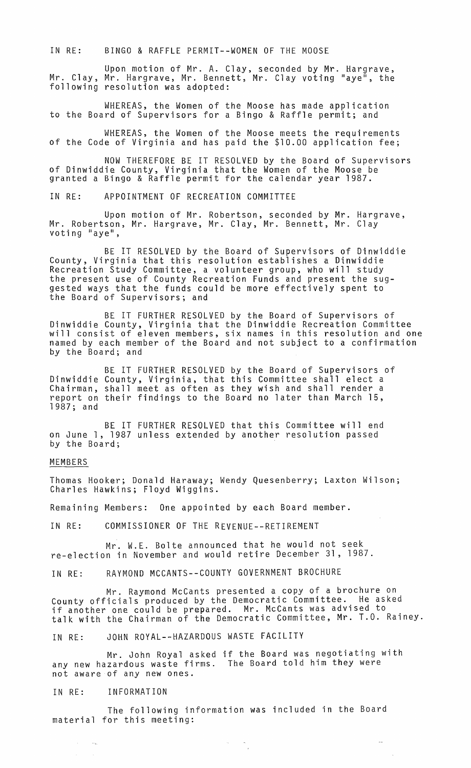IN RE: BINGO & RAFFLE PERMIT--WOMEN OF THE MOOSE

Upon motion of Mr. A. Clay, seconded by Mr. Hargrave, Mr. Clay, Mr. Hargrave, Mr. Bennett, Mr. Clay voting "aye", the following resolution was adopted:

WHEREAS, the Women of the Moose has made application to the Board of Supervisors for a Bingo & Raffle permit; and

WHEREAS, the Women of the Moose meets the requirements of the Code of Virginia and has paid the \$10.00 application fee;

NOW THEREFORE BE IT RESOLVED by the Board of Supervisors of Dinwiddie County, Virginia that the Women of the Moose be granted a Bingo & Raffle permit for the calendar year 1987.

IN RE: APPOINTMENT OF RECREATION COMMITTEE

Upon motion of Mr. Robertson, seconded by Mr. Hargrave, Mr. Robertson, Mr. Hargrave, Mr. Clay, Mr. Bennett, Mr. Clay<br>voting "aye",

BE IT RESOLVED by the Board of Supervisors of Dinwiddie County, Virginia that this resolution establishes a Dinwiddie Recreation Study Committee, a volunteer group, who will study the present use of County Recreation Funds and present the suggested ways that the funds could be more effectively spent to the Board of Supervisors; and

BE IT FURTHER RESOLVED by the Board of Supervisors of Dinwiddie County, Virginia that the Dinwiddie Recreation Committee will consist of eleven members, six names in this resolution and one named by each member of the Board and not subject to a confirmation by the Board; and

BE IT FURTHER RESOLVED by the Board of Supervisors of Dinwiddie County, Virginia, that this Committee shall elect a Chairman, shall meet as often as they wish and shall render a report on their findings to the Board no later than March 15, 1987; and

BE IT FURTHER RESOLVED that this Committee will end on June 1, 1987 unless extended by another resolution passed by the Board;

## MEMBERS

Thomas Hooker; Donald Haraway; Wendy Quesenberry; Laxton Wilson; Charles Hawkins; Floyd Wiggins.

Remaining Members: One appointed by each Board member.

IN RE: COMMISSIONER OF THE REVENUE--RETIREMENT

Mr. W.E. Bolte announced that he would not seek re-election in November and would retire December 31, 1987.

IN RE: RAYMOND MCCANTS--COUNTY GOVERNMENT BROCHURE

Mr. Raymond McCants presented a copy of a brochure on County officials produced by the Democratic Committee. He asked if another one could be prepared. Mr. McCants was advised to talk with the Chairman of the Democratic Committee, Mr. T.O. Rainey.

IN RE: JOHN ROYAL--HAZARDOUS WASTE FACILITY

Mr. John Royal asked if the Board was negotiating with any new hazardous waste firms. The Board told him they were not aware of any new ones.

## IN RE: INFORMATION

The following information was included in the Board material for this meeting:

 $\label{eq:2.1} \begin{array}{ccccc} \alpha & & & \omega & \\ & & & \omega & \\ & & & & \tau \end{array}$ 

 $\sim$   $-$ 

 $\mathcal{L}$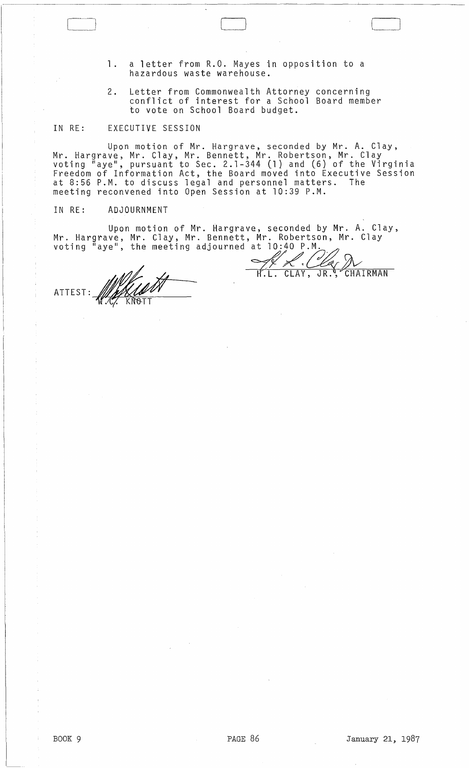1. a letter from R.O. Mayes in opposition to a hazardous waste warehouse.

Ci ( \_\_

2. Letter from Commonwealth Attorney concerning conflict of interest for a School Board member to vote on School Board budget.

## IN RE: EXECUTIVE SESSION

Upon motion of Mr. Hargrave, seconded by Mr. A. Clay, Mr. Hargrave, Mr. Clay, Mr. Bennett, Mr. Robertson, Mr. Clay<br>voting "aye", pursuant to Sec. 2.1-344 (1) and (6) of the Virginia Freedom of Information Act, the Board moved into Executive Session at 8:56 P.M. to discuss legal and personnel matters. The meeting reconvened into Open Session at 10:39 P.M.

## IN RE: ADJOURNMENT

Upon motion of Mr. Hargrave, seconded by Mr. A. Clay, Mr. Hargrave, Mr. Clay, Mr. Bennett, Mr. Robertson, Mr. Clay voting "aye", the meeting adjourned at  $10:40$  P.M.

X. Clay N

ATTEST: WARRAN